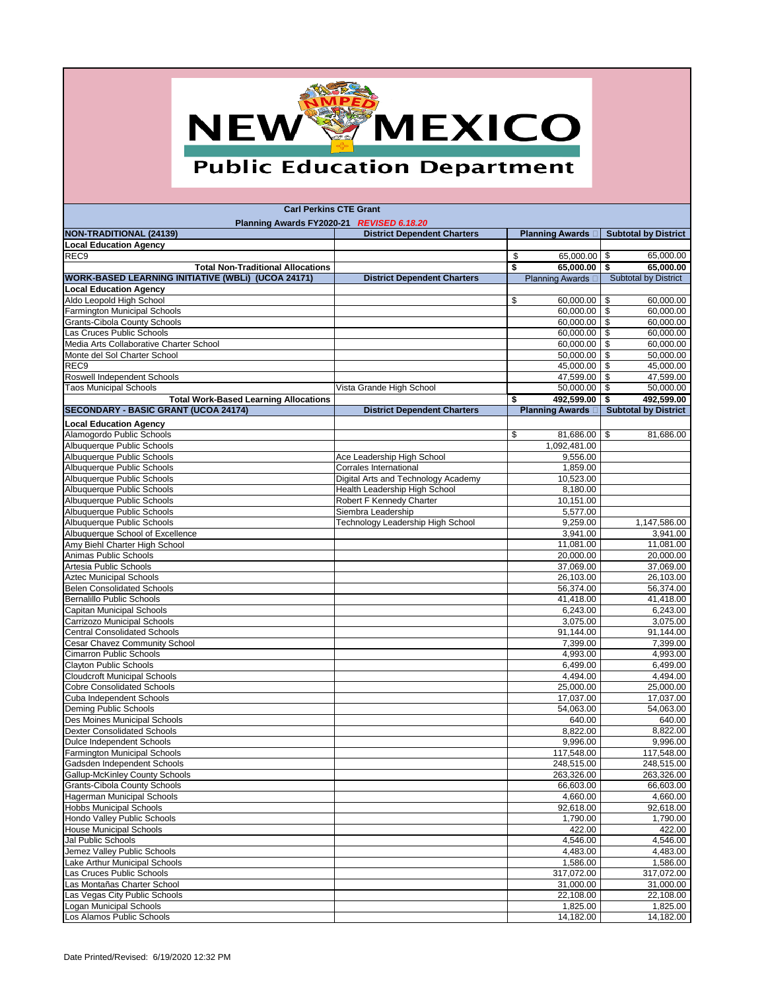## NEW MEXICO

## **Public Education Department**

Date Printed/Revised: 6/19/2020 12:32 PM

| <b>Carl Perkins CTE Grant</b>                                                               |                                      |                                            |                                                 |  |
|---------------------------------------------------------------------------------------------|--------------------------------------|--------------------------------------------|-------------------------------------------------|--|
| Planning Awards FY2020-21 REVISED 6.18.20<br><b>NON-TRADITIONAL (24139)</b>                 | <b>District Dependent Charters</b>   | <b>Planning Awards</b>                     | <b>Subtotal by District</b>                     |  |
| <b>Local Education Agency</b>                                                               |                                      |                                            |                                                 |  |
| REC <sub>9</sub>                                                                            |                                      | 65,000.00 $\frac{1}{9}$<br>\$              | 65,000.00                                       |  |
| <b>Total Non-Traditional Allocations</b>                                                    |                                      | \$<br>$65,000.00$ \$                       | 65,000.00                                       |  |
| <b>WORK-BASED LEARNING INITIATIVE (WBLI) (UCOA 24171)</b>                                   | <b>District Dependent Charters</b>   | <b>Planning Awards</b>                     | <b>Subtotal by District</b>                     |  |
| <b>Local Education Agency</b>                                                               |                                      |                                            |                                                 |  |
| Aldo Leopold High School                                                                    |                                      | \$<br>60,000.00                            | \$<br>60,000.00                                 |  |
| <b>Farmington Municipal Schools</b>                                                         |                                      | 60,000.00                                  | $\overline{\mathbf{3}}$<br>60,000.00            |  |
| <b>Grants-Cibola County Schools</b>                                                         |                                      | 60,000.00                                  | $\sqrt{3}$<br>60,000.00                         |  |
| Las Cruces Public Schools                                                                   |                                      | 60,000.00                                  | $\boldsymbol{\mathsf{\$}}$<br>60,000.00         |  |
| Media Arts Collaborative Charter School                                                     |                                      | 60,000.00                                  | $\sqrt[6]{3}$<br>60,000.00                      |  |
| Monte del Sol Charter School                                                                |                                      | 50,000.00                                  | $\sqrt[6]{3}$<br>50,000.00                      |  |
| REC <sub>9</sub>                                                                            |                                      | 45,000.00 $\vert$ \$                       | 45,000.00                                       |  |
| <b>Roswell Independent Schools</b>                                                          |                                      | 47,599.00 $\frac{1}{9}$                    | 47,599.00                                       |  |
| <b>Taos Municipal Schools</b>                                                               | Vista Grande High School             | $50,000.00$   \$                           | 50,000.00                                       |  |
| <b>Total Work-Based Learning Allocations</b><br><b>SECONDARY - BASIC GRANT (UCOA 24174)</b> | <b>District Dependent Charters</b>   | \$<br>492,599.00<br><b>Planning Awards</b> | \$<br>492,599.00<br><b>Subtotal by District</b> |  |
|                                                                                             |                                      |                                            |                                                 |  |
| <b>Local Education Agency</b>                                                               |                                      |                                            |                                                 |  |
| Alamogordo Public Schools                                                                   |                                      | \$<br>$81,686.00$ \\$                      | 81,686.00                                       |  |
| Albuquerque Public Schools<br>Albuquerque Public Schools                                    | Ace Leadership High School           | 1,092,481.00<br>9,556.00                   |                                                 |  |
| Albuquerque Public Schools                                                                  | <b>Corrales International</b>        | 1,859.00                                   |                                                 |  |
| Albuquerque Public Schools                                                                  | Digital Arts and Technology Academy  | 10,523.00                                  |                                                 |  |
| Albuquerque Public Schools                                                                  | <b>Health Leadership High School</b> | 8,180.00                                   |                                                 |  |
| Albuquerque Public Schools                                                                  | Robert F Kennedy Charter             | 10,151.00                                  |                                                 |  |
| Albuquerque Public Schools                                                                  | Siembra Leadership                   | 5,577.00                                   |                                                 |  |
| Albuquerque Public Schools                                                                  | Technology Leadership High School    | 9,259.00                                   | 1,147,586.00                                    |  |
| Albuquerque School of Excellence                                                            |                                      | 3,941.00                                   | 3,941.00                                        |  |
| Amy Biehl Charter High School                                                               |                                      | 11,081.00                                  | 11,081.00                                       |  |
| Animas Public Schools                                                                       |                                      | 20,000.00                                  | 20,000.00                                       |  |
| Artesia Public Schools                                                                      |                                      | 37,069.00                                  | 37,069.00                                       |  |
| <b>Aztec Municipal Schools</b>                                                              |                                      | 26,103.00                                  | 26,103.00                                       |  |
| <b>Belen Consolidated Schools</b>                                                           |                                      | 56,374.00                                  | 56,374.00                                       |  |
| <b>Bernalillo Public Schools</b>                                                            |                                      | 41,418.00                                  | 41,418.00                                       |  |
| <b>Capitan Municipal Schools</b><br>Carrizozo Municipal Schools                             |                                      | 6,243.00<br>3,075.00                       | 6,243.00<br>3,075.00                            |  |
| <b>Central Consolidated Schools</b>                                                         |                                      | 91,144.00                                  | 91,144.00                                       |  |
| <b>Cesar Chavez Community School</b>                                                        |                                      | 7,399.00                                   | 7,399.00                                        |  |
| <b>Cimarron Public Schools</b>                                                              |                                      | 4,993.00                                   | 4,993.00                                        |  |
| <b>Clayton Public Schools</b>                                                               |                                      | 6,499.00                                   | 6,499.00                                        |  |
| <b>Cloudcroft Municipal Schools</b>                                                         |                                      | 4,494.00                                   | 4,494.00                                        |  |
| <b>Cobre Consolidated Schools</b>                                                           |                                      | 25,000.00                                  | 25,000.00                                       |  |
| Cuba Independent Schools                                                                    |                                      | 17,037.00                                  | 17,037.00                                       |  |
| Deming Public Schools                                                                       |                                      | 54,063.00                                  | 54,063.00                                       |  |
| Des Moines Municipal Schools                                                                |                                      | 640.00                                     | 640.00                                          |  |
| <b>Dexter Consolidated Schools</b>                                                          |                                      | 8,822.00                                   | 8,822.00                                        |  |
| <b>Dulce Independent Schools</b>                                                            |                                      | 9,996.00                                   | 9,996.00                                        |  |
| <b>Farmington Municipal Schools</b>                                                         |                                      | 117,548.00                                 | 117,548.00                                      |  |
| Gadsden Independent Schools<br><b>Gallup-McKinley County Schools</b>                        |                                      | 248,515.00<br>263,326.00                   | 248,515.00<br>263,326.00                        |  |
| <b>Grants-Cibola County Schools</b>                                                         |                                      | 66,603.00                                  | 66,603.00                                       |  |
| <b>Hagerman Municipal Schools</b>                                                           |                                      | 4,660.00                                   | 4,660.00                                        |  |
| <b>Hobbs Municipal Schools</b>                                                              |                                      | 92,618.00                                  | 92,618.00                                       |  |
| Hondo Valley Public Schools                                                                 |                                      | 1,790.00                                   | 1,790.00                                        |  |
| <b>House Municipal Schools</b>                                                              |                                      | 422.00                                     | 422.00                                          |  |
| Jal Public Schools                                                                          |                                      | 4,546.00                                   | 4,546.00                                        |  |
| Jemez Valley Public Schools                                                                 |                                      | 4,483.00                                   | 4,483.00                                        |  |
| Lake Arthur Municipal Schools                                                               |                                      | 1,586.00                                   | 1,586.00                                        |  |
| Las Cruces Public Schools                                                                   |                                      | 317,072.00                                 | 317,072.00                                      |  |
| Las Montañas Charter School                                                                 |                                      | 31,000.00                                  | 31,000.00                                       |  |
| Las Vegas City Public Schools                                                               |                                      | 22,108.00                                  | 22,108.00                                       |  |
| Logan Municipal Schools                                                                     |                                      | 1,825.00                                   | 1,825.00                                        |  |
| Los Alamos Public Schools                                                                   |                                      | 14,182.00                                  | 14,182.00                                       |  |